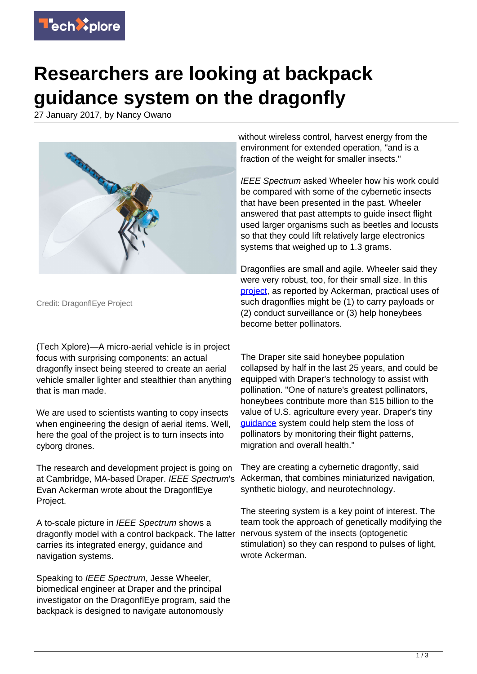

## **Researchers are looking at backpack guidance system on the dragonfly**

27 January 2017, by Nancy Owano



Credit: DragonflEye Project

(Tech Xplore)—A micro-aerial vehicle is in project focus with surprising components: an actual dragonfly insect being steered to create an aerial vehicle smaller lighter and stealthier than anything that is man made.

We are used to scientists wanting to copy insects when engineering the design of aerial items. Well, here the goal of the project is to turn insects into cyborg drones.

The research and development project is going on at Cambridge, MA-based Draper. IEEE Spectrum's Evan Ackerman wrote about the DragonflEye Project.

A to-scale picture in IEEE Spectrum shows a dragonfly model with a control backpack. The latter carries its integrated energy, guidance and navigation systems.

Speaking to IEEE Spectrum, Jesse Wheeler, biomedical engineer at Draper and the principal investigator on the DragonflEye program, said the backpack is designed to navigate autonomously

without wireless control, harvest energy from the environment for extended operation, "and is a fraction of the weight for smaller insects."

IEEE Spectrum asked Wheeler how his work could be compared with some of the cybernetic insects that have been presented in the past. Wheeler answered that past attempts to guide insect flight used larger organisms such as beetles and locusts so that they could lift relatively large electronics systems that weighed up to 1.3 grams.

Dragonflies are small and agile. Wheeler said they were very robust, too, for their small size. In this [project](http://spectrum.ieee.org/automaton/robotics/industrial-robots/draper-dragonfleye-project), as reported by Ackerman, practical uses of such dragonflies might be (1) to carry payloads or (2) conduct surveillance or (3) help honeybees become better pollinators.

The Draper site said honeybee population collapsed by half in the last 25 years, and could be equipped with Draper's technology to assist with pollination. "One of nature's greatest pollinators, honeybees contribute more than \$15 billion to the value of U.S. agriculture every year. Draper's tiny [guidance](http://www.draper.com/news/equipping-insects-special-service) system could help stem the loss of pollinators by monitoring their flight patterns, migration and overall health."

They are creating a cybernetic dragonfly, said Ackerman, that combines miniaturized navigation, synthetic biology, and neurotechnology.

The steering system is a key point of interest. The team took the approach of genetically modifying the nervous system of the insects (optogenetic stimulation) so they can respond to pulses of light, wrote Ackerman.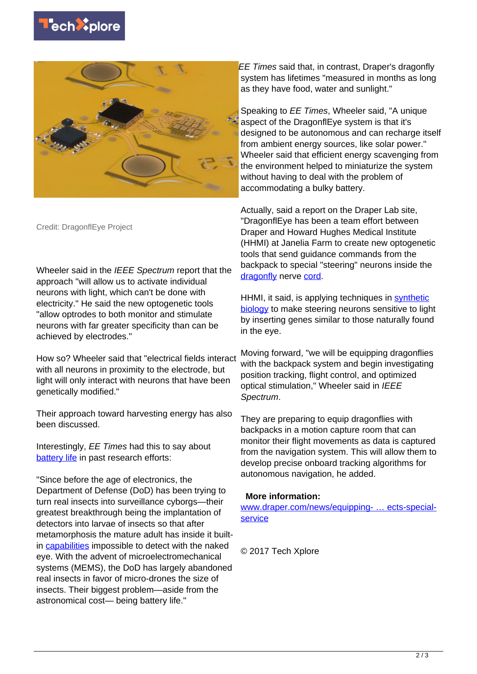



Credit: DragonflEye Project

Wheeler said in the IEEE Spectrum report that the approach "will allow us to activate individual neurons with light, which can't be done with electricity." He said the new optogenetic tools "allow optrodes to both monitor and stimulate neurons with far greater specificity than can be achieved by electrodes."

How so? Wheeler said that "electrical fields interact with all neurons in proximity to the electrode, but light will only interact with neurons that have been genetically modified."

Their approach toward harvesting energy has also been discussed.

Interestingly, EE Times had this to say about [battery life](https://techxplore.com/tags/battery+life/) in past research efforts:

"Since before the age of electronics, the Department of Defense (DoD) has been trying to turn real insects into surveillance cyborgs—their greatest breakthrough being the implantation of detectors into larvae of insects so that after metamorphosis the mature adult has inside it builtin [capabilities](http://www.eetimes.com/document.asp?doc_id=1331215) impossible to detect with the naked eye. With the advent of microelectromechanical systems (MEMS), the DoD has largely abandoned real insects in favor of micro-drones the size of insects. Their biggest problem—aside from the astronomical cost— being battery life."

EE Times said that, in contrast, Draper's dragonfly system has lifetimes "measured in months as long as they have food, water and sunlight."

Speaking to EE Times, Wheeler said, "A unique aspect of the DragonflEye system is that it's designed to be autonomous and can recharge itself from ambient energy sources, like solar power." Wheeler said that efficient energy scavenging from the environment helped to miniaturize the system without having to deal with the problem of accommodating a bulky battery.

Actually, said a report on the Draper Lab site, "DragonflEye has been a team effort between Draper and Howard Hughes Medical Institute (HHMI) at Janelia Farm to create new optogenetic tools that send guidance commands from the backpack to special "steering" neurons inside the [dragonfly](https://techxplore.com/tags/dragonfly/) nerve [cord.](http://www.draper.com/news/equipping-insects-special-service)

HHMI, it said, is applying techniques in [synthetic](https://techxplore.com/tags/synthetic+biology/) [biology](https://techxplore.com/tags/synthetic+biology/) to make steering neurons sensitive to light by inserting genes similar to those naturally found in the eye.

Moving forward, "we will be equipping dragonflies with the backpack system and begin investigating position tracking, flight control, and optimized optical stimulation," Wheeler said in IEEE Spectrum.

They are preparing to equip dragonflies with backpacks in a motion capture room that can monitor their flight movements as data is captured from the navigation system. This will allow them to develop precise onboard tracking algorithms for autonomous navigation, he added.

## **More information:**

[www.draper.com/news/equipping- … ects-special](http://www.draper.com/news/equipping-insects-special-service)**[service](http://www.draper.com/news/equipping-insects-special-service)** 

© 2017 Tech Xplore